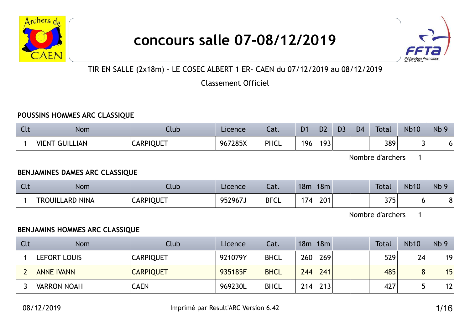

# concours salle 07-08/12/2019



TIR EN SALLE (2x18m) - LE COSEC ALBERT 1 ER- CAEN du 07/12/2019 au 08/12/2019

Classement Officiel

#### POUSSINS HOMMES ARC CLASSIQUE

| <b>Clt</b> | Nom                             | Club             | Licence | Cat.        | D <sub>1</sub> | D <sub>2</sub> | D <sub>3</sub> | D <sub>4</sub> | <b>Total</b> | <b>Nb10</b> | Nb <sub>S</sub> |
|------------|---------------------------------|------------------|---------|-------------|----------------|----------------|----------------|----------------|--------------|-------------|-----------------|
|            | <b>VIEN7</b><br><b>GUILLIAN</b> | <b>CARPIQUET</b> | 967285X | <b>PHCL</b> | 196            | 193            |                |                | 389          |             | u               |

Nombre d'archers 1

#### BENJAMINES DAMES ARC CLASSIQUE

| $\sqrt{2}$<br>$\overline{\phantom{a}}$ | <b>Nom</b>                                  | Club             | Licence | Cat.        | 18m     | 18m |  | <b>Total</b>      | <b>Nb10</b> | Nb <sub>9</sub> |
|----------------------------------------|---------------------------------------------|------------------|---------|-------------|---------|-----|--|-------------------|-------------|-----------------|
|                                        | <b>TROUIL</b><br><b>NINA</b><br><b>LARD</b> | <b>CARPIQUET</b> | 952967J | <b>BFCL</b> | ⇁<br>74 | 201 |  | つつに<br><b>J</b> J | ີ           | ີ               |

Nombre d'archers 1

#### BENJAMINS HOMMES ARC CLASSIQUE

| Clt | <b>Nom</b>         | Club             | Licence | Cat.        |     | 18m 18m |  | <b>Total</b> | <b>Nb10</b> | Nb <sub>9</sub> |
|-----|--------------------|------------------|---------|-------------|-----|---------|--|--------------|-------------|-----------------|
|     | LEFORT LOUIS       | <b>CARPIQUET</b> | 921079Y | <b>BHCL</b> | 260 | 269     |  | 529          | 24          | 19              |
|     | <b>ANNE IVANN</b>  | <b>CARPIQUET</b> | 935185F | <b>BHCL</b> | 244 | 241     |  | 485          | 8           | 15              |
|     | <b>VARRON NOAH</b> | <b>CAEN</b>      | 969230L | <b>BHCL</b> | 214 | 213     |  | 427          | ц           | 12              |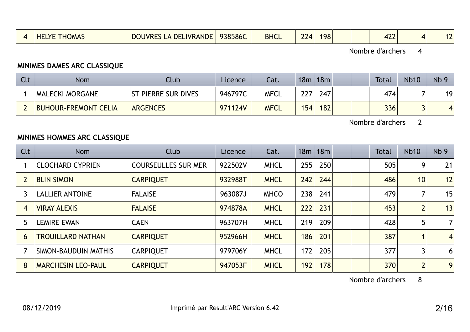|  | <b>HELYF</b><br>HOMA. | <b>LA DELIVRANDE</b><br><b>DOUVRES</b> | 938586C | <b>BHCL</b> | 74 | 198 |  | $\sqrt{2}$<br>. |  |  |  |
|--|-----------------------|----------------------------------------|---------|-------------|----|-----|--|-----------------|--|--|--|
|--|-----------------------|----------------------------------------|---------|-------------|----|-----|--|-----------------|--|--|--|

## MINIMES DAMES ARC CLASSIQUE

| Clt | <b>Nom</b>                  | Club                       | Licence | Cat.        | 18m | 18m |  | <b>Total</b> | <b>Nb10</b> | Nb <sub>9</sub> |
|-----|-----------------------------|----------------------------|---------|-------------|-----|-----|--|--------------|-------------|-----------------|
|     | <b>MALECKI MORGANE</b>      | <b>ST PIERRE SUR DIVES</b> | 946797C | MFCL        | 227 | 247 |  | 474          |             | 19              |
|     | <b>BUHOUR-FREMONT CELIA</b> | <b>ARGENCES</b>            | 971124V | <b>MFCL</b> | 154 | 182 |  | 336          |             |                 |

Nombre d'archers 2

## MINIMES HOMMES ARC CLASSIQUE

| Clt | <b>Nom</b>                  | Club                       | Licence | Cat.        |     | 18m 18m |  | <b>Total</b> | <b>Nb10</b>    | Nb <sub>9</sub> |
|-----|-----------------------------|----------------------------|---------|-------------|-----|---------|--|--------------|----------------|-----------------|
|     | <b>CLOCHARD CYPRIEN</b>     | <b>COURSEULLES SUR MER</b> | 922502V | <b>MHCL</b> | 255 | 250     |  | 505          | 9              | 21              |
|     | <b>BLIN SIMON</b>           | <b>CARPIQUET</b>           | 932988T | <b>MHCL</b> | 242 | 244     |  | 486          | 10             | 12              |
|     | <b>LALLIER ANTOINE</b>      | <b>FALAISE</b>             | 963087J | <b>MHCO</b> | 238 | 241     |  | 479          |                | 15              |
| 4   | <b>VIRAY ALEXIS</b>         | <b>FALAISE</b>             | 974878A | <b>MHCL</b> | 222 | 231     |  | 453          | $\overline{2}$ | 13              |
| 5   | <b>LEMIRE EWAN</b>          | <b>CAEN</b>                | 963707H | <b>MHCL</b> | 219 | 209     |  | 428          | 5              | 7 <sup>1</sup>  |
| 6   | <b>TROUILLARD NATHAN</b>    | <b>CARPIQUET</b>           | 952966H | <b>MHCL</b> | 186 | 201     |  | 387          |                | $\overline{4}$  |
|     | <b>SIMON-BAUDUIN MATHIS</b> | <b>CARPIQUET</b>           | 979706Y | <b>MHCL</b> | 172 | 205     |  | 377          | 3              | 6               |
| 8   | <b>MARCHESIN LEO-PAUL</b>   | <b>CARPIQUET</b>           | 947053F | <b>MHCL</b> | 192 | 178     |  | 370          | $\overline{2}$ | 9               |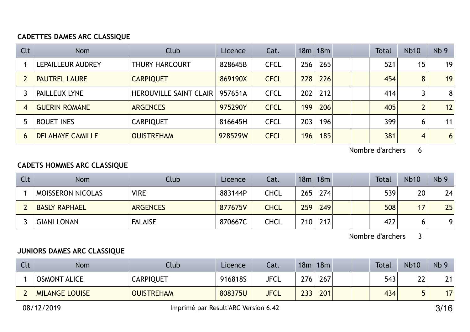## CADETTES DAMES ARC CLASSIQUE

| Clt            | <b>Nom</b>              | Club                            | Licence | Cat.        |     | 18m 18m |  | Total | <b>Nb10</b>    | Nb <sub>9</sub> |
|----------------|-------------------------|---------------------------------|---------|-------------|-----|---------|--|-------|----------------|-----------------|
|                | LEPAILLEUR AUDREY       | <b>THURY HARCOURT</b>           | 828645B | <b>CFCL</b> | 256 | 265     |  | 521   | 15             | 19              |
|                | <b>PAUTREL LAURE</b>    | <b>CARPIQUET</b>                | 869190X | <b>CFCL</b> | 228 | 226     |  | 454   | 8 <sup>1</sup> | 19              |
|                | <b>PAILLEUX LYNE</b>    | <b>HEROUVILLE SAINT CLAIR  </b> | 957651A | <b>CFCL</b> | 202 | 212     |  | 414   | 3              | 8               |
| $\overline{4}$ | <b>GUERIN ROMANE</b>    | <b>ARGENCES</b>                 | 975290Y | <b>CFCL</b> | 199 | 206     |  | 405   | 2 <sub>1</sub> | 12              |
|                | <b>BOUET INES</b>       | <b>CARPIQUET</b>                | 816645H | <b>CFCL</b> | 203 | 196     |  | 399   | 6              | 11              |
| 6              | <b>DELAHAYE CAMILLE</b> | <b>OUISTREHAM</b>               | 928529W | <b>CFCL</b> | 196 | 185     |  | 381   | 4              | $6 \mid$        |

Nombre d'archers 6

#### CADETS HOMMES ARC CLASSIQUE

| Clt | <b>Nom</b>               | Club            | Licence | Cat.        |     | 18m 18m |  | Total | <b>Nb10</b> | Nb <sub>9</sub> |
|-----|--------------------------|-----------------|---------|-------------|-----|---------|--|-------|-------------|-----------------|
|     | <b>MOISSERON NICOLAS</b> | <b>VIRE</b>     | 883144P | <b>CHCL</b> | 265 | 274     |  | 539   | 20          | 24              |
|     | <b>BASLY RAPHAEL</b>     | <b>ARGENCES</b> | 877675V | <b>CHCL</b> | 259 | 249     |  | 508   | 17          | 25              |
|     | <b>GIANI LONAN</b>       | <b>FALAISE</b>  | 870667C | <b>CHCL</b> | 210 | 212     |  | 422   |             | 9               |

Nombre d'archers 3

## JUNIORS DAMES ARC CLASSIQUE

| Clt | <b>Nom</b>            | Club              | Licence | Cat.        | 18m | 18m | <b>Total</b> | <b>Nb10</b> | Nb <sub>9</sub> |
|-----|-----------------------|-------------------|---------|-------------|-----|-----|--------------|-------------|-----------------|
|     | <b>OSMONT ALICE</b>   | <b>CARPIQUET</b>  | 916818S | <b>JFCL</b> | 276 | 267 | 543          | າາ<br>ŽΖ    | 21              |
|     | <b>MILANGE LOUISE</b> | <b>OUISTREHAM</b> | 808375U | <b>JFCL</b> | 233 | 201 | 434          | п           | 17 <sub>1</sub> |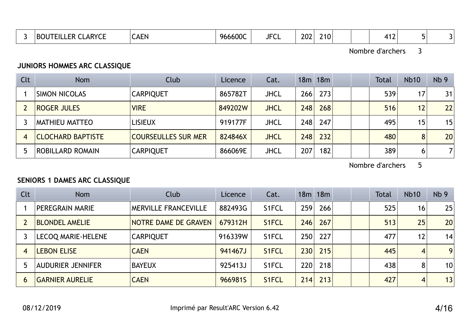|  | <b>CLARYCE</b><br>TEILLER<br><b>BOUT</b> | <b>SENT</b><br><b>CALN</b> | 966600C | $I = C$<br>ᆚ┙ ╵ | າ∩າ<br>ZUZ. | 210 <sup>1</sup> |  | $\overline{\phantom{a}}$<br>. |  |  |
|--|------------------------------------------|----------------------------|---------|-----------------|-------------|------------------|--|-------------------------------|--|--|
|--|------------------------------------------|----------------------------|---------|-----------------|-------------|------------------|--|-------------------------------|--|--|

## JUNIORS HOMMES ARC CLASSIQUE

| Clt | <b>Nom</b>               | Club                       | Licence | Cat.        |     | 18m 18m |  | <b>Total</b> | <b>Nb10</b> | Nb <sub>9</sub> |
|-----|--------------------------|----------------------------|---------|-------------|-----|---------|--|--------------|-------------|-----------------|
|     | <b>SIMON NICOLAS</b>     | <b>CARPIQUET</b>           | 865782T | <b>JHCL</b> | 266 | 273     |  | 539          | 17          | 31              |
|     | <b>ROGER JULES</b>       | <b>VIRE</b>                | 849202W | <b>JHCL</b> | 248 | 268     |  | 516          | 12          | 22              |
|     | <b>MATHIEU MATTEO</b>    | <b>LISIEUX</b>             | 919177F | <b>JHCL</b> | 248 | 247     |  | 495          | 15          | 15              |
|     | <b>CLOCHARD BAPTISTE</b> | <b>COURSEULLES SUR MER</b> | 824846X | <b>JHCL</b> | 248 | 232     |  | 480          | 8           | 20              |
|     | <b>ROBILLARD ROMAIN</b>  | <b>CARPIQUET</b>           | 866069E | <b>JHCL</b> | 207 | 182     |  | 389          | 6           | 7               |

Nombre d'archers 5

## SENIORS 1 DAMES ARC CLASSIQUE

| Clt | <b>Nom</b>                | Club                        | Licence | Cat.               |     | 18m 18m |  | <b>Total</b> | <b>Nb10</b>       | Nb <sub>9</sub> |
|-----|---------------------------|-----------------------------|---------|--------------------|-----|---------|--|--------------|-------------------|-----------------|
|     | PEREGRAIN MARIE           | <b>MERVILLE FRANCEVILLE</b> | 882493G | S1FCL              | 259 | 266     |  | 525          | 16                | 25              |
|     | <b>BLONDEL AMELIE</b>     | NOTRE DAME DE GRAVEN        | 679312H | S1FCL              | 246 | 267     |  | 513          | 25                | 20              |
|     | <b>LECOQ MARIE-HELENE</b> | <b>CARPIQUET</b>            | 916339W | S <sub>1</sub> FCL | 250 | 227     |  | 477          | $12 \overline{ }$ | 14              |
| 4   | <b>LEBON ELISE</b>        | <b>CAEN</b>                 | 941467J | S1FCL              | 230 | 215     |  | 445          | $\overline{4}$    | 9 <sub>1</sub>  |
|     | <b>AUDURIER JENNIFER</b>  | <b>BAYEUX</b>               | 925413J | S <sub>1</sub> FCL | 220 | 218     |  | 438          | 8                 | 10              |
| 6   | <b>GARNIER AURELIE</b>    | <b>CAEN</b>                 | 966981S | <b>S1FCL</b>       | 214 | 213     |  | 427          | $\overline{4}$    | 13              |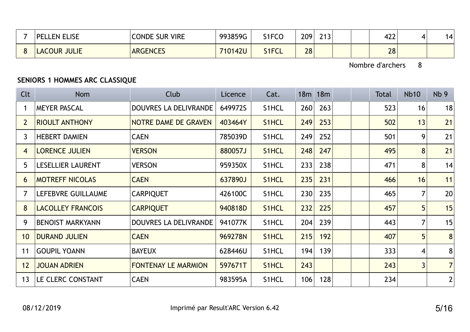| <b>_ISE</b><br><b>PFI</b><br>FN. | <b>VIRE</b><br><b>CONDE</b><br>: Sur | 993859G | S1FCO | 209 | 242<br>נ ו | 1つつ<br>4LL | .⊿ |
|----------------------------------|--------------------------------------|---------|-------|-----|------------|------------|----|
| <b>JULIE</b><br>OUR<br>LA(       | <b>ARGENCES</b>                      | 710142U | S1FCL | 28  |            | 28         |    |

# SENIORS 1 HOMMES ARC CLASSIQUE

| Clt            | <b>Nom</b>               | Club                       | Licence | Cat.               |     | 18m 18m |  | <b>Total</b> | <b>Nb10</b>    | Nb <sub>9</sub> |
|----------------|--------------------------|----------------------------|---------|--------------------|-----|---------|--|--------------|----------------|-----------------|
|                | <b>MEYER PASCAL</b>      | DOUVRES LA DELIVRANDE      | 649972S | S1HCL              | 260 | 263     |  | 523          | 16             | 18              |
| $2^{\circ}$    | <b>RIOULT ANTHONY</b>    | NOTRE DAME DE GRAVEN       | 403464Y | S1HCL              | 249 | 253     |  | 502          | 13             | 21              |
| $\mathbf{3}$   | <b>HEBERT DAMIEN</b>     | <b>CAEN</b>                | 785039D | S1HCL              | 249 | 252     |  | 501          | 9              | 21              |
| 4              | <b>LORENCE JULIEN</b>    | <b>VERSON</b>              | 880057J | S1HCL              | 248 | 247     |  | 495          | 8              | 21              |
| 5              | <b>LESELLIER LAURENT</b> | <b>VERSON</b>              | 959350X | S1HCL              | 233 | 238     |  | 471          | 8              | 14              |
| 6              | <b>MOTREFF NICOLAS</b>   | <b>CAEN</b>                | 637890J | S1HCL              | 235 | 231     |  | 466          | 16             | 11              |
| $\overline{7}$ | LEFEBVRE GUILLAUME       | <b>CARPIQUET</b>           | 426100C | S1HCL              | 230 | 235     |  | 465          |                | 20              |
| 8              | <b>LACOLLEY FRANCOIS</b> | <b>CARPIQUET</b>           | 940818D | S1HCL              | 232 | 225     |  | 457          | 5 <sup>5</sup> | 15              |
| 9              | <b>BENOIST MARKYANN</b>  | DOUVRES LA DELIVRANDE      | 941077K | S1HCL              | 204 | 239     |  | 443          | $\overline{7}$ | 15              |
| 10             | <b>DURAND JULIEN</b>     | <b>CAEN</b>                | 969278N | S <sub>1</sub> HCL | 215 | 192     |  | 407          | 5 <sup>5</sup> | 8               |
| 11             | <b>GOUPIL YOANN</b>      | <b>BAYEUX</b>              | 628446U | S1HCL              | 194 | 139     |  | 333          | 4              | 8 <sup>°</sup>  |
| 12             | <b>JOUAN ADRIEN</b>      | <b>FONTENAY LE MARMION</b> | 597671T | S1HCL              | 243 |         |  | 243          | $\overline{3}$ | $7\vert$        |
| 13             | LE CLERC CONSTANT        | <b>CAEN</b>                | 983595A | S1HCL              | 106 | 128     |  | 234          |                | $\mathbf{2}$    |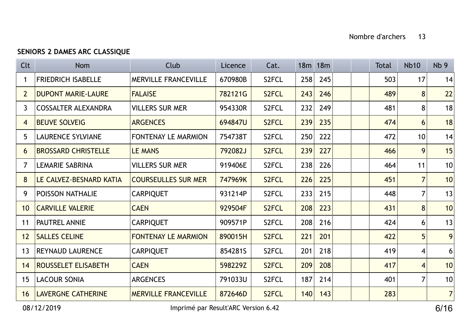## SENIORS 2 DAMES ARC CLASSIQUE

| <b>Clt</b>     | <b>Nom</b>                 | Club                        | Licence | Cat.               |     | 18m 18m |  | <b>Total</b> | <b>Nb10</b>             | Nb <sub>9</sub> |
|----------------|----------------------------|-----------------------------|---------|--------------------|-----|---------|--|--------------|-------------------------|-----------------|
|                | <b>FRIEDRICH ISABELLE</b>  | <b>MERVILLE FRANCEVILLE</b> | 670980B | S <sub>2</sub> FCL | 258 | 245     |  | 503          | 17                      | 14              |
| $\overline{2}$ | <b>DUPONT MARIE-LAURE</b>  | <b>FALAISE</b>              | 782121G | S <sub>2</sub> FCL | 243 | 246     |  | 489          | 8                       | 22              |
| $\mathbf{3}$   | <b>COSSALTER ALEXANDRA</b> | <b>VILLERS SUR MER</b>      | 954330R | S2FCL              | 232 | 249     |  | 481          | 8                       | 18              |
| 4              | <b>BEUVE SOLVEIG</b>       | <b>ARGENCES</b>             | 694847U | S2FCL              | 239 | 235     |  | 474          | 6                       | 18              |
| 5              | <b>LAURENCE SYLVIANE</b>   | <b>FONTENAY LE MARMION</b>  | 754738T | S2FCL              | 250 | 222     |  | 472          | 10 <sup>°</sup>         | 14              |
| 6              | <b>BROSSARD CHRISTELLE</b> | <b>LE MANS</b>              | 792082J | S <sub>2</sub> FCL | 239 | 227     |  | 466          | 9                       | 15              |
| $\overline{7}$ | <b>LEMARIE SABRINA</b>     | <b>VILLERS SUR MER</b>      | 919406E | S2FCL              | 238 | 226     |  | 464          | 11                      | 10              |
| 8              | LE CALVEZ-BESNARD KATIA    | <b>COURSEULLES SUR MER</b>  | 747969K | S <sub>2</sub> FCL | 226 | 225     |  | 451          | 7 <sup>1</sup>          | 10              |
| 9              | <b>POISSON NATHALIE</b>    | <b>CARPIQUET</b>            | 931214P | S2FCL              | 233 | 215     |  | 448          | $\overline{7}$          | 13              |
| 10             | <b>CARVILLE VALERIE</b>    | <b>CAEN</b>                 | 929504F | S <sub>2</sub> FCL | 208 | 223     |  | 431          | 8                       | 10              |
| 11             | PAUTREL ANNIE              | <b>CARPIQUET</b>            | 909571P | S2FCL              | 208 | 216     |  | 424          | 6                       | 13              |
| 12             | <b>SALLES CELINE</b>       | <b>FONTENAY LE MARMION</b>  | 890015H | S2FCL              | 221 | 201     |  | 422          | 5                       | 9               |
| 13             | <b>REYNAUD LAURENCE</b>    | <b>CARPIQUET</b>            | 854281S | S2FCL              | 201 | 218     |  | 419          | $\overline{\mathbf{4}}$ | 6               |
| 14             | <b>ROUSSELET ELISABETH</b> | <b>CAEN</b>                 | 598229Z | S <sub>2</sub> FCL | 209 | 208     |  | 417          | $\overline{4}$          | 10              |
| 15             | <b>LACOUR SONIA</b>        | <b>ARGENCES</b>             | 791033U | S2FCL              | 187 | 214     |  | 401          | 7 <sup>1</sup>          | 10              |
| 16             | <b>LAVERGNE CATHERINE</b>  | <b>MERVILLE FRANCEVILLE</b> | 872646D | S <sub>2</sub> FCL | 140 | 143     |  | 283          |                         | 7 <sup>1</sup>  |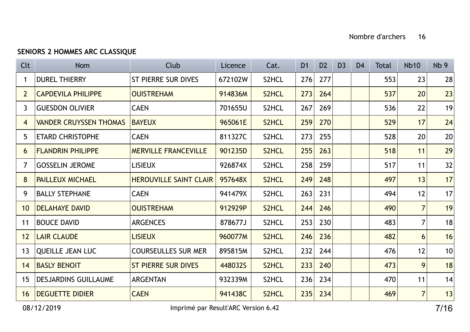# SENIORS 2 HOMMES ARC CLASSIQUE

| Clt             | <b>Nom</b>                    | Club                          | Licence | Cat.  | D <sub>1</sub> | D <sub>2</sub> | D <sub>3</sub> | D <sub>4</sub> | <b>Total</b> | <b>Nb10</b>    | Nb <sub>9</sub> |
|-----------------|-------------------------------|-------------------------------|---------|-------|----------------|----------------|----------------|----------------|--------------|----------------|-----------------|
|                 | <b>DUREL THIERRY</b>          | <b>ST PIERRE SUR DIVES</b>    | 672102W | S2HCL | 276            | 277            |                |                | 553          | 23             | 28              |
| $2^{\circ}$     | <b>CAPDEVILA PHILIPPE</b>     | <b>OUISTREHAM</b>             | 914836M | S2HCL | 273            | 264            |                |                | 537          | 20             | 23              |
| $\mathbf{3}$    | <b>GUESDON OLIVIER</b>        | <b>CAEN</b>                   | 701655U | S2HCL | 267            | 269            |                |                | 536          | 22             | 19              |
| 4               | <b>VANDER CRUYSSEN THOMAS</b> | <b>BAYEUX</b>                 | 965061E | S2HCL | 259            | 270            |                |                | 529          | 17             | 24              |
| 5               | <b>ETARD CHRISTOPHE</b>       | <b>CAEN</b>                   | 811327C | S2HCL | 273            | 255            |                |                | 528          | 20             | 20              |
| 6               | <b>FLANDRIN PHILIPPE</b>      | <b>MERVILLE FRANCEVILLE</b>   | 901235D | S2HCL | 255            | 263            |                |                | 518          | 11             | 29              |
| $\overline{7}$  | <b>GOSSELIN JEROME</b>        | <b>LISIEUX</b>                | 926874X | S2HCL | 258            | 259            |                |                | 517          | 11             | 32              |
| 8               | <b>PAILLEUX MICHAEL</b>       | <b>HEROUVILLE SAINT CLAIR</b> | 957648X | S2HCL | 249            | 248            |                |                | 497          | 13             | 17              |
| 9               | <b>BALLY STEPHANE</b>         | <b>CAEN</b>                   | 941479X | S2HCL | 263            | 231            |                |                | 494          | 12             | 17              |
| 10 <sup>°</sup> | <b>DELAHAYE DAVID</b>         | <b>OUISTREHAM</b>             | 912929P | S2HCL | 244            | 246            |                |                | 490          | 7 <sup>1</sup> | 19              |
| 11              | <b>BOUCE DAVID</b>            | <b>ARGENCES</b>               | 878677J | S2HCL | 253            | 230            |                |                | 483          | $\overline{7}$ | 18              |
| 12              | <b>LAIR CLAUDE</b>            | <b>LISIEUX</b>                | 960077M | S2HCL | 246            | 236            |                |                | 482          | 6              | 16              |
| 13              | <b>QUEILLE JEAN LUC</b>       | <b>COURSEULLES SUR MER</b>    | 895815M | S2HCL | 232            | 244            |                |                | 476          | 12             | 10              |
| 14              | <b>BASLY BENOIT</b>           | <b>ST PIERRE SUR DIVES</b>    | 448032S | S2HCL | 233            | 240            |                |                | 473          | 9              | 18              |
| 15              | <b>DESJARDINS GUILLAUME</b>   | <b>ARGENTAN</b>               | 932339M | S2HCL | 236            | 234            |                |                | 470          | 11             | 14              |
| 16              | <b>DEGUETTE DIDIER</b>        | <b>CAEN</b>                   | 941438C | S2HCL | 235            | 234            |                |                | 469          | 7 <sup>1</sup> | 13              |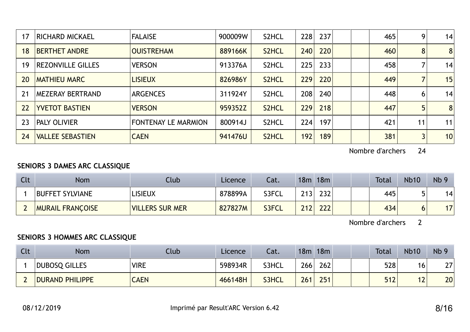| 17 | <b>RICHARD MICKAEL</b>   | <b>FALAISE</b>             | 900009W | S2HCL              | 228 | 237 |  | 465 | 9              | 14 <sub>1</sub> |
|----|--------------------------|----------------------------|---------|--------------------|-----|-----|--|-----|----------------|-----------------|
| 18 | <b>BERTHET ANDRE</b>     | <b>OUISTREHAM</b>          | 889166K | S2HCL              | 240 | 220 |  | 460 | 8              | 8               |
| 19 | <b>REZONVILLE GILLES</b> | <b>VERSON</b>              | 913376A | S2HCL              | 225 | 233 |  | 458 |                | 14              |
| 20 | <b>MATHIEU MARC</b>      | <b>LISIEUX</b>             | 826986Y | S2HCL              | 229 | 220 |  | 449 |                | 15              |
| 21 | <b>MEZERAY BERTRAND</b>  | <b>ARGENCES</b>            | 311924Y | S2HCL              | 208 | 240 |  | 448 | 6              | 14              |
| 22 | <b>YVETOT BASTIEN</b>    | <b>VERSON</b>              | 959352Z | S2HCL              | 229 | 218 |  | 447 | 5              | 8               |
| 23 | <b>PALY OLIVIER</b>      | <b>FONTENAY LE MARMION</b> | 800914J | S2HCL              | 224 | 197 |  | 421 | 11             | 11              |
| 24 | <b>VALLEE SEBASTIEN</b>  | <b>CAEN</b>                | 941476U | S <sub>2</sub> HCL | 192 | 189 |  | 381 | $\overline{3}$ | 10 <sub>1</sub> |

## SENIORS 3 DAMES ARC CLASSIQUE

| Clt | <b>Nom</b>              | Club                   | Licence | Cat.  | 18m | 18m |  | <b>Total</b> | <b>Nb10</b> | Nb <sub>9</sub> |
|-----|-------------------------|------------------------|---------|-------|-----|-----|--|--------------|-------------|-----------------|
|     | <b>BUFFET SYLVIANE</b>  | LISIEUX                | 878899A | S3FCL | 712 | 232 |  | 445          |             | 14.             |
|     | <b>MURAIL FRANCOISE</b> | <b>VILLERS SUR MER</b> | 827827M | S3FCL | 212 | 222 |  | 434          |             |                 |

Nombre d'archers 2

## SENIORS 3 HOMMES ARC CLASSIQUE

| Clt | <b>Nom</b>             | Club        | Licence | Cat.  | 18m | 18m |  | <b>Total</b> | <b>Nb10</b>    | Nb <sub>9</sub> |
|-----|------------------------|-------------|---------|-------|-----|-----|--|--------------|----------------|-----------------|
|     | DUBOSQ GILLES          | <b>VIRE</b> | 598934R | S3HCL | 266 | 262 |  | 528          | 16             | ר ר<br>L I      |
|     | <b>DURAND PHILIPPE</b> | <b>CAEN</b> | 466148H | S3HCL | 261 | 251 |  | 512          | $\overline{L}$ | 20              |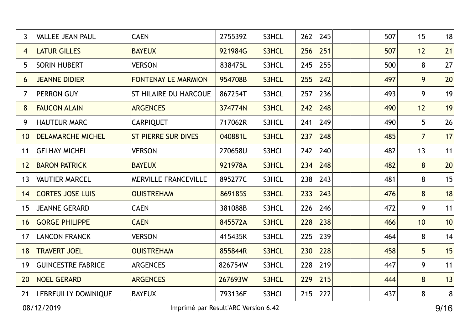| $\mathbf{3}$   | <b>VALLEE JEAN PAUL</b>     | <b>CAEN</b>                  | 275539Z | S3HCL | 262<br>245 | 507 | 15             | 18        |
|----------------|-----------------------------|------------------------------|---------|-------|------------|-----|----------------|-----------|
| $\overline{4}$ | <b>LATUR GILLES</b>         | <b>BAYEUX</b>                | 921984G | S3HCL | 256<br>251 | 507 | 12             | 21        |
| 5              | <b>SORIN HUBERT</b>         | <b>VERSON</b>                | 838475L | S3HCL | 245<br>255 | 500 | 8              | 27        |
| 6              | <b>JEANNE DIDIER</b>        | <b>FONTENAY LE MARMION</b>   | 954708B | S3HCL | 255<br>242 | 497 | 9              | 20        |
| $\overline{7}$ | <b>PERRON GUY</b>           | <b>ST HILAIRE DU HARCOUE</b> | 867254T | S3HCL | 257<br>236 | 493 | 9              | 19        |
| 8              | <b>FAUCON ALAIN</b>         | <b>ARGENCES</b>              | 374774N | S3HCL | 242<br>248 | 490 | 12             | 19        |
| 9              | <b>HAUTEUR MARC</b>         | <b>CARPIQUET</b>             | 717062R | S3HCL | 241<br>249 | 490 | 5              | 26        |
| 10             | <b>DELAMARCHE MICHEL</b>    | <b>ST PIERRE SUR DIVES</b>   | 040881L | S3HCL | 237<br>248 | 485 | $\overline{7}$ | 17        |
| 11             | <b>GELHAY MICHEL</b>        | <b>VERSON</b>                | 270658U | S3HCL | 242<br>240 | 482 | 13             | 11        |
| 12             | <b>BARON PATRICK</b>        | <b>BAYEUX</b>                | 921978A | S3HCL | 234<br>248 | 482 | 8              | 20        |
| 13             | <b>VAUTIER MARCEL</b>       | <b>MERVILLE FRANCEVILLE</b>  | 895277C | S3HCL | 238<br>243 | 481 | 8              | 15        |
| 14             | <b>CORTES JOSE LUIS</b>     | <b>OUISTREHAM</b>            | 869185S | S3HCL | 233<br>243 | 476 | 8              | 18        |
| 15             | <b>JEANNE GERARD</b>        | <b>CAEN</b>                  | 381088B | S3HCL | 226<br>246 | 472 | 9              | 11        |
| 16             | <b>GORGE PHILIPPE</b>       | <b>CAEN</b>                  | 845572A | S3HCL | 228<br>238 | 466 | 10             | 10        |
| 17             | <b>LANCON FRANCK</b>        | <b>VERSON</b>                | 415435K | S3HCL | 225<br>239 | 464 | 8              | 14        |
| 18             | <b>TRAVERT JOEL</b>         | <b>OUISTREHAM</b>            | 855844R | S3HCL | 230<br>228 | 458 | 5              | 15        |
| 19             | <b>GUINCESTRE FABRICE</b>   | <b>ARGENCES</b>              | 826754W | S3HCL | 228<br>219 | 447 | 9              | 11        |
| 20             | <b>NOEL GERARD</b>          | <b>ARGENCES</b>              | 267693W | S3HCL | 229<br>215 | 444 | 8              | 13        |
| 21             | <b>LEBREUILLY DOMINIQUE</b> | <b>BAYEUX</b>                | 793136E | S3HCL | 222<br>215 | 437 | 8              | $\pmb{8}$ |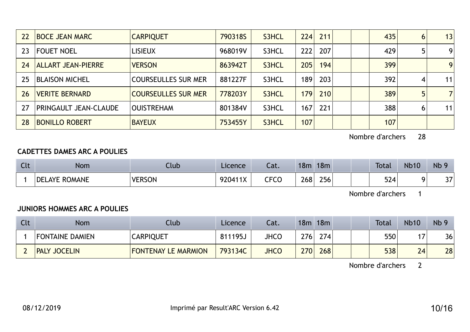| 22 | <b>BOCE JEAN MARC</b>        | <b>CARPIQUET</b>           | 790318S | S3HCL | 224 | 211 |  | 435 | 6 | 13             |
|----|------------------------------|----------------------------|---------|-------|-----|-----|--|-----|---|----------------|
| 23 | <b>FOUET NOEL</b>            | <b>LISIEUX</b>             | 968019V | S3HCL | 222 | 207 |  | 429 |   | 9              |
| 24 | <b>ALLART JEAN-PIERRE</b>    | <b>VERSON</b>              | 863942T | S3HCL | 205 | 194 |  | 399 |   | 9              |
| 25 | <b>BLAISON MICHEL</b>        | <b>COURSEULLES SUR MER</b> | 881227F | S3HCL | 189 | 203 |  | 392 | 4 | 11             |
| 26 | <b>VERITE BERNARD</b>        | <b>COURSEULLES SUR MER</b> | 778203Y | S3HCL | 179 | 210 |  | 389 | 5 | $\overline{7}$ |
| 27 | <b>PRINGAULT JEAN-CLAUDE</b> | <b>OUISTREHAM</b>          | 801384V | S3HCL | 167 | 221 |  | 388 | 6 | 11             |
| 28 | <b>BONILLO ROBERT</b>        | <b>BAYEUX</b>              | 753455Y | S3HCL | 107 |     |  | 107 |   |                |

#### CADETTES DAMES ARC A POULIES

| <b>Clt</b> | <b>Nom</b>                   | .lub          | Licence                   | ົ <u>າ</u> 1<br>-al. | 18m | 18m | <b>Total</b> | <b>Nb10</b> | Nb 9                 |
|------------|------------------------------|---------------|---------------------------|----------------------|-----|-----|--------------|-------------|----------------------|
|            | ROMANE<br><b>DEL</b><br>_AYE | <b>VERSON</b> | Q20111Y<br>$\overline{1}$ | CECC<br>しし しし        | 268 | 256 | 524          |             | $\sim$ $\sim$<br>، ر |

Nombre d'archers 1

#### JUNIORS HOMMES ARC A POULIES

| Clt | <b>Nom</b>                    | Club                       | Licence | Cat.        | 18m | 18m | <b>Total</b> | <b>Nb10</b> | Nb <sub>9</sub> |
|-----|-------------------------------|----------------------------|---------|-------------|-----|-----|--------------|-------------|-----------------|
|     | <b>FONTAINE DAMIEN</b>        | <b>CARPIQUET</b>           | 811195J | <b>JHCO</b> | 276 | 274 | 550          | . .         | 36              |
|     | <b>JOCELIN</b><br><b>PALY</b> | <b>FONTENAY LE MARMION</b> | 793134C | <b>JHCO</b> | 270 | 268 | 538          | 24          | 28              |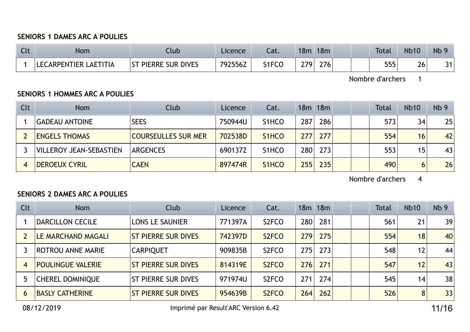#### SENIORS 1 DAMES ARC A POULIES

| $\sim$<br><b>CLC</b> | Nom                        | Llub                          | Licence | cal.         | 18m        | 18m |  | <b>Total</b> | <b>Nb10</b>   | <b>Nb</b> |
|----------------------|----------------------------|-------------------------------|---------|--------------|------------|-----|--|--------------|---------------|-----------|
|                      | LAETITIA<br>LECARPENTIER I | <b>PIERRE SUR DIVES</b><br>ST | 792556Z | <b>S1FCr</b> | <b>279</b> | 276 |  | 555          | $\sim$<br>ZO. | 31        |

Nombre d'archers 1

#### SENIORS 1 HOMMES ARC A POULIES

| Clt | <b>Nom</b>                     | Club                       | Licence | Cat.               |      | 18m 18m |  | <b>Total</b> | <b>Nb10</b> | Nb <sub>9</sub> |
|-----|--------------------------------|----------------------------|---------|--------------------|------|---------|--|--------------|-------------|-----------------|
|     | <b>GADEAU ANTOINE</b>          | <b>SEES</b>                | 750944U | S <sub>1</sub> HCO | 287  | 286     |  | 573          | 34          | 25              |
|     | <b>ENGELS THOMAS</b>           | <b>COURSEULLES SUR MER</b> | 702538D | S <sub>1</sub> HCO | 277  | 277     |  | 554          | 16          | 42              |
|     | <b>VILLEROY JEAN-SEBASTIEN</b> | <b>ARGENCES</b>            | 690137Z | S <sub>1</sub> HCO | 280  | 273     |  | 553          | 15          | 43              |
|     | <b>DEROEUX CYRIL</b>           | <b>CAEN</b>                | 897474R | S <sub>1</sub> HCO | 2551 | 235     |  | 490          | 6           | 26              |

Nombre d'archers 4

#### SENIORS 2 DAMES ARC A POULIES

| Clt            | <b>Nom</b>               | Club                       | Licence | Cat.               |     | 18m 18m |  | <b>Total</b> | <b>Nb10</b> | Nb <sub>9</sub> |
|----------------|--------------------------|----------------------------|---------|--------------------|-----|---------|--|--------------|-------------|-----------------|
|                | <b>DARCILLON CECILE</b>  | <b>LONS LE SAUNIER</b>     | 771397A | S <sub>2</sub> FCO | 280 | 281     |  | 561          | 21          | 39              |
|                | LE MARCHAND MAGALI       | <b>ST PIERRE SUR DIVES</b> | 742397D | S <sub>2</sub> FCO | 279 | 275     |  | 554          | 18          | 40              |
|                | <b>ROTROU ANNE MARIE</b> | <b>CARPIQUET</b>           | 909835B | S <sub>2</sub> FCO | 275 | 273     |  | 548          | 12          | 44              |
| $\overline{4}$ | <b>POULINGUE VALERIE</b> | <b>ST PIERRE SUR DIVES</b> | 814319E | S <sub>2</sub> FCO | 276 | 271     |  | 547          | 12          | 43              |
|                | <b>CHEREL DOMINIQUE</b>  | <b>ST PIERRE SUR DIVES</b> | 971974U | S <sub>2</sub> FCO | 271 | 274     |  | 545          | 14          | 38              |
| $\mathbf b$    | <b>BASLY CATHERINE</b>   | <b>ST PIERRE SUR DIVES</b> | 954639B | S <sub>2</sub> FCO | 264 | 262     |  | 526          | 8           | 33              |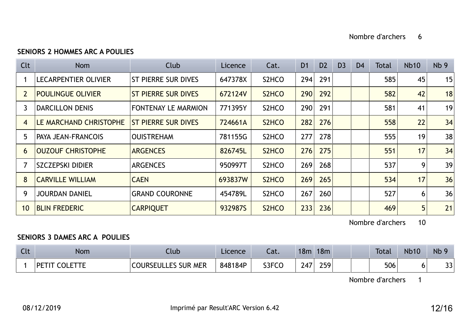## SENIORS 2 HOMMES ARC A POULIES

| Clt            | <b>Nom</b>                  | <b>Club</b>                | Licence | Cat.               | D <sub>1</sub> | D <sub>2</sub> | D <sub>3</sub> | D <sub>4</sub> | Total | <b>Nb10</b> | Nb <sub>9</sub> |
|----------------|-----------------------------|----------------------------|---------|--------------------|----------------|----------------|----------------|----------------|-------|-------------|-----------------|
|                | <b>LECARPENTIER OLIVIER</b> | <b>ST PIERRE SUR DIVES</b> | 647378X | S <sub>2</sub> HCO | 294            | 291            |                |                | 585   | 45          | 15              |
| $\overline{2}$ | <b>POULINGUE OLIVIER</b>    | <b>ST PIERRE SUR DIVES</b> | 672124V | S <sub>2</sub> HCO | 290            | 292            |                |                | 582   | 42          | 18              |
| 3              | <b>DARCILLON DENIS</b>      | <b>FONTENAY LE MARMION</b> | 771395Y | S <sub>2</sub> HCO | 290            | 291            |                |                | 581   | 41          | 19              |
| $\overline{4}$ | LE MARCHAND CHRISTOPHE      | <b>ST PIERRE SUR DIVES</b> | 724661A | S <sub>2</sub> HCO | 282            | 276            |                |                | 558   | 22          | 34              |
| 5              | <b>PAYA JEAN-FRANCOIS</b>   | <b>OUISTREHAM</b>          | 781155G | S <sub>2</sub> HCO | 277            | 278            |                |                | 555   | 19          | 38              |
| 6              | <b>OUZOUF CHRISTOPHE</b>    | <b>ARGENCES</b>            | 826745L | S <sub>2</sub> HCO | 276            | 275            |                |                | 551   | 17          | 34              |
|                | <b>SZCZEPSKI DIDIER</b>     | <b>ARGENCES</b>            | 950997T | S <sub>2</sub> HCO | 269            | 268            |                |                | 537   | 9           | 39              |
| 8              | <b>CARVILLE WILLIAM</b>     | <b>CAEN</b>                | 693837W | S <sub>2</sub> HCO | 269            | 265            |                |                | 534   | 17          | 36              |
| 9              | <b>JOURDAN DANIEL</b>       | <b>GRAND COURONNE</b>      | 454789L | S <sub>2</sub> HCO | 267            | 260            |                |                | 527   | 6           | 36              |
| 10             | <b>BLIN FREDERIC</b>        | <b>CARPIQUET</b>           | 932987S | S2HCO              | 233            | 236            |                |                | 469   | 5           | 21              |

Nombre d'archers 10

#### SENIORS 3 DAMES ARC A POULIES

| $\sim$<br><b>CLL</b> | Nom                 | lub:                       | Licence | Cat.  | 18m                  | 18m | <b>Total</b> | <b>Nb10</b> | Nb 9         |
|----------------------|---------------------|----------------------------|---------|-------|----------------------|-----|--------------|-------------|--------------|
|                      | <b>DETIT</b><br>ו∩־ | <b>COURSEULLES SUR MER</b> | 848184P | S3FCC | $\rightarrow$<br>/ ∠ | 259 | 506          | ັ           | $\sim$<br>JJ |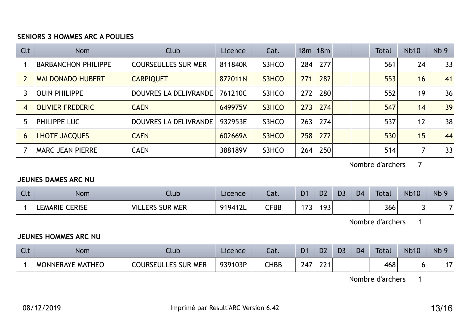#### SENIORS 3 HOMMES ARC A POULIES

| Clt            | <b>Nom</b>                 | Club                       | Licence | Cat.  |     | 18m 18m |  | <b>Total</b> | <b>Nb10</b>     | Nb <sub>9</sub> |
|----------------|----------------------------|----------------------------|---------|-------|-----|---------|--|--------------|-----------------|-----------------|
|                | <b>BARBANCHON PHILIPPE</b> | <b>COURSEULLES SUR MER</b> | 811840K | S3HCO | 284 | 277     |  | 561          | 24              | 33              |
|                | <b>MALDONADO HUBERT</b>    | <b>CARPIQUET</b>           | 872011N | S3HCO | 271 | 282     |  | 553          | 16              | 41              |
|                | <b>OUIN PHILIPPE</b>       | DOUVRES LA DELIVRANDE      | 761210C | S3HCO | 272 | 280     |  | 552          | 19              | 36              |
| $\overline{4}$ | <b>OLIVIER FREDERIC</b>    | <b>CAEN</b>                | 649975V | S3HCO | 273 | 274     |  | 547          | 14              | 39              |
|                | <b>PHILIPPE LUC</b>        | DOUVRES LA DELIVRANDE      | 932953E | S3HCO | 263 | 274     |  | 537          | 12              | 38              |
| 6              | LHOTE JACQUES              | <b>CAEN</b>                | 602669A | S3HCO | 258 | 272     |  | 530          | 15 <sub>1</sub> | 44              |
|                | <b>MARC JEAN PIERRE</b>    | <b>CAEN</b>                | 388189V | S3HCO | 264 | 250     |  | 514          | ⇁               | 33              |

Nombre d'archers 7

#### JEUNES DAMES ARC NU

| $\sim$<br>しいし | Nom                             | Club                                | Licence         | <u>ຳ</u><br>cal. | D1            | D <sub>2</sub> | D <sub>3</sub> | D <sub>4</sub> | <b>Total</b> | <b>Nb10</b> | Nb 9 |
|---------------|---------------------------------|-------------------------------------|-----------------|------------------|---------------|----------------|----------------|----------------|--------------|-------------|------|
|               | <b>CERISE</b><br><b>LEMARIE</b> | <b>VIL</b><br><b>SUR MER</b><br>ERS | 9194121<br>᠂╹∠∟ | ${\sf CFBB}$     | $\rightarrow$ | 193            |                |                | 366          |             |      |

Nombre d'archers 1

## JEUNES HOMMES ARC NU

| $\sqrt{14}$<br><b>NGL.</b> | Nom                     | Llub                       | Licence | Cat.            | D1  | D <sub>2</sub> | D <sub>3</sub> | D <sub>4</sub> | <b>Total</b> | <b>Nb10</b> | <b>Nb</b>     |
|----------------------------|-------------------------|----------------------------|---------|-----------------|-----|----------------|----------------|----------------|--------------|-------------|---------------|
|                            | <b>MONNERAYE MATHEO</b> | <b>COURSEULLES SUR MER</b> | 939103P | $\mathsf{CHBB}$ | 24. | าาง<br>77 I    |                |                | 468          |             | $\rightarrow$ |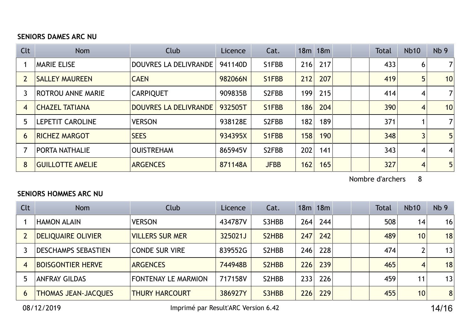## SENIORS DAMES ARC NU

| Clt            | <b>Nom</b>               | Club                         | Licence | Cat.        |     | 18 <sub>m</sub> 18 <sub>m</sub> |  | <b>Total</b> | <b>Nb10</b> | Nb <sub>9</sub> |
|----------------|--------------------------|------------------------------|---------|-------------|-----|---------------------------------|--|--------------|-------------|-----------------|
|                | <b>MARIE ELISE</b>       | DOUVRES LA DELIVRANDE        | 941140D | S1FBB       | 216 | 217                             |  | 433          | 6           | $\overline{7}$  |
|                | <b>SALLEY MAUREEN</b>    | <b>CAEN</b>                  | 982066N | S1FBB       | 212 | 207                             |  | 419          | 5           | 10              |
|                | <b>ROTROU ANNE MARIE</b> | <b>CARPIQUET</b>             | 909835B | S2FBB       | 199 | 215                             |  | 414          | 4           | $\overline{7}$  |
| $\overline{4}$ | <b>CHAZEL TATIANA</b>    | <b>DOUVRES LA DELIVRANDE</b> | 932505T | S1FBB       | 186 | 204                             |  | 390          | 4           | 10              |
| 5              | <b>LEPETIT CAROLINE</b>  | <b>VERSON</b>                | 938128E | S2FBB       | 182 | 189                             |  | 371          |             | $\overline{7}$  |
| 6              | <b>RICHEZ MARGOT</b>     | <b>SEES</b>                  | 934395X | S1FBB       | 158 | 190                             |  | 348          | 3           | 5               |
|                | <b>PORTA NATHALIE</b>    | <b>OUISTREHAM</b>            | 865945V | S2FBB       | 202 | 141                             |  | 343          | 4           | $\overline{4}$  |
| 8              | <b>GUILLOTTE AMELIE</b>  | <b>ARGENCES</b>              | 871148A | <b>JFBB</b> | 162 | 165                             |  | 327          | 4           | 5 <sup>5</sup>  |

Nombre d'archers 8

#### SENIORS HOMMES ARC NU

| Clt            | <b>Nom</b>                 | Club                       | Licence | Cat.               |     | 18m 18m |  | <b>Total</b> | <b>Nb10</b>     | Nb <sub>9</sub> |
|----------------|----------------------------|----------------------------|---------|--------------------|-----|---------|--|--------------|-----------------|-----------------|
|                | <b>HAMON ALAIN</b>         | <b>VERSON</b>              | 434787V | S3HBB              | 264 | 244     |  | 508          | 14              | 16 <sup>1</sup> |
|                | <b>DELIQUAIRE OLIVIER</b>  | <b>VILLERS SUR MER</b>     | 325021J | S2HBB              | 247 | 242     |  | 489          | 10 <sup>°</sup> | 18              |
|                | <b>DESCHAMPS SEBASTIEN</b> | <b>CONDE SUR VIRE</b>      | 839552G | S <sub>2</sub> HBB | 246 | 228     |  | 474          |                 | 13              |
| $\overline{4}$ | <b>BOISGONTIER HERVE</b>   | <b>ARGENCES</b>            | 744948B | S2HBB              | 226 | 239     |  | 465          | $\overline{4}$  | 18 <sub>1</sub> |
|                | <b>ANFRAY GILDAS</b>       | <b>FONTENAY LE MARMION</b> | 717158V | S2HBB              | 233 | 226     |  | 459          | 11              | 13              |
| 6              | <b>THOMAS JEAN-JACQUES</b> | <b>THURY HARCOURT</b>      | 386927Y | S3HBB              | 226 | 229     |  | 455          | 10              | 8 <sup>1</sup>  |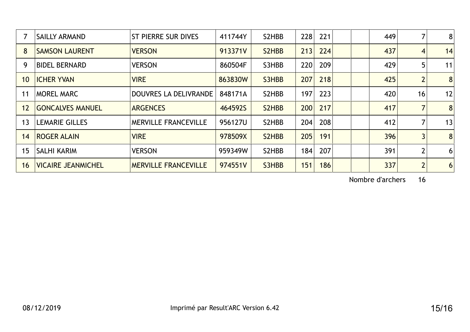|    | <b>SAILLY ARMAND</b>      | <b>ST PIERRE SUR DIVES</b>   | 411744Y | S2HBB | 228<br>221 | 449 |                | 8  |
|----|---------------------------|------------------------------|---------|-------|------------|-----|----------------|----|
| 8  | <b>SAMSON LAURENT</b>     | <b>VERSON</b>                | 913371V | S2HBB | 213<br>224 | 437 | 4              | 14 |
| 9  | <b>BIDEL BERNARD</b>      | <b>VERSON</b>                | 860504F | S3HBB | 220<br>209 | 429 | 5              | 11 |
| 10 | <b>ICHER YVAN</b>         | <b>VIRE</b>                  | 863830W | S3HBB | 207<br>218 | 425 | $\overline{2}$ | 8  |
| 11 | <b>MOREL MARC</b>         | <b>DOUVRES LA DELIVRANDE</b> | 848171A | S2HBB | 223<br>197 | 420 | 16             | 12 |
| 12 | <b>GONCALVES MANUEL</b>   | <b>ARGENCES</b>              | 464592S | S2HBB | 200<br>217 | 417 |                | 8  |
| 13 | <b>LEMARIE GILLES</b>     | <b>MERVILLE FRANCEVILLE</b>  | 956127U | S2HBB | 208<br>204 | 412 |                | 13 |
| 14 | <b>ROGER ALAIN</b>        | <b>VIRE</b>                  | 978509X | S2HBB | 205<br>191 | 396 | $\overline{3}$ | 8  |
| 15 | <b>SALHI KARIM</b>        | <b>VERSON</b>                | 959349W | S2HBB | 184<br>207 | 391 | $\overline{2}$ | 6  |
| 16 | <b>VICAIRE JEANMICHEL</b> | <b>MERVILLE FRANCEVILLE</b>  | 974551V | S3HBB | 151<br>186 | 337 | $\overline{2}$ | 6  |